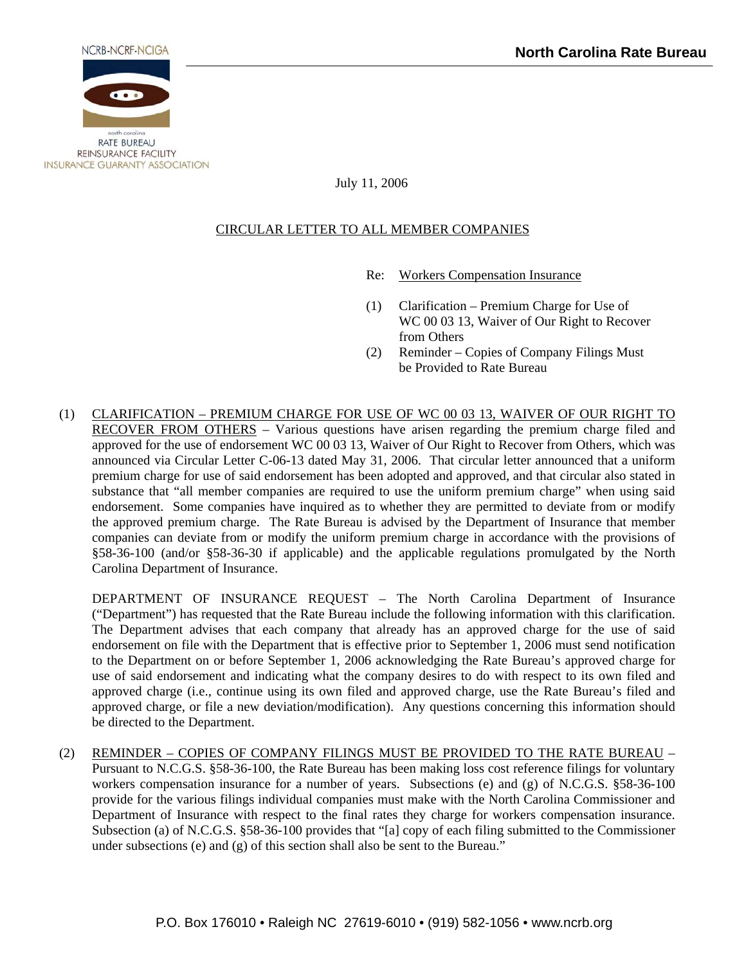

## July 11, 2006

## CIRCULAR LETTER TO ALL MEMBER COMPANIES

- Re: Workers Compensation Insurance
- (1) Clarification Premium Charge for Use of WC 00 03 13, Waiver of Our Right to Recover from Others
- (2) Reminder Copies of Company Filings Must be Provided to Rate Bureau
- (1) CLARIFICATION PREMIUM CHARGE FOR USE OF WC 00 03 13, WAIVER OF OUR RIGHT TO RECOVER FROM OTHERS – Various questions have arisen regarding the premium charge filed and approved for the use of endorsement WC 00 03 13, Waiver of Our Right to Recover from Others, which was announced via Circular Letter C-06-13 dated May 31, 2006. That circular letter announced that a uniform premium charge for use of said endorsement has been adopted and approved, and that circular also stated in substance that "all member companies are required to use the uniform premium charge" when using said endorsement. Some companies have inquired as to whether they are permitted to deviate from or modify the approved premium charge. The Rate Bureau is advised by the Department of Insurance that member companies can deviate from or modify the uniform premium charge in accordance with the provisions of §58-36-100 (and/or §58-36-30 if applicable) and the applicable regulations promulgated by the North Carolina Department of Insurance.

DEPARTMENT OF INSURANCE REQUEST – The North Carolina Department of Insurance ("Department") has requested that the Rate Bureau include the following information with this clarification. The Department advises that each company that already has an approved charge for the use of said endorsement on file with the Department that is effective prior to September 1, 2006 must send notification to the Department on or before September 1, 2006 acknowledging the Rate Bureau's approved charge for use of said endorsement and indicating what the company desires to do with respect to its own filed and approved charge (i.e., continue using its own filed and approved charge, use the Rate Bureau's filed and approved charge, or file a new deviation/modification). Any questions concerning this information should be directed to the Department.

(2) REMINDER – COPIES OF COMPANY FILINGS MUST BE PROVIDED TO THE RATE BUREAU – Pursuant to N.C.G.S. §58-36-100, the Rate Bureau has been making loss cost reference filings for voluntary workers compensation insurance for a number of years. Subsections (e) and (g) of N.C.G.S. §58-36-100 provide for the various filings individual companies must make with the North Carolina Commissioner and Department of Insurance with respect to the final rates they charge for workers compensation insurance. Subsection (a) of N.C.G.S. §58-36-100 provides that "[a] copy of each filing submitted to the Commissioner under subsections (e) and (g) of this section shall also be sent to the Bureau."